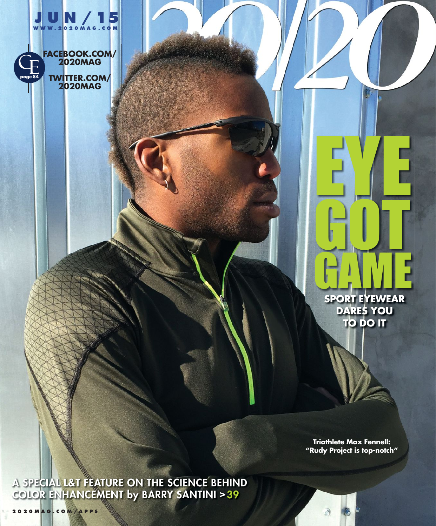

**2020MAG**

**SPORT EYEWEAR DARES YOU TO DO IT** GAME

EYE<br>ELE

GOT

**Triathlete Max Fennell: "Rudy Project is top-notch"**

**A SPECIAL L&T FEATURE ON THE SCIENCE BEHIND COLOR ENHANCEMENT by BARRY SANTINI >39**

**2020MAG.COM/APPS**

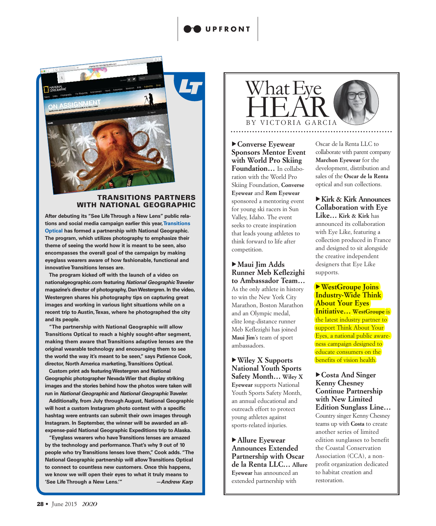

#### **TRANSITIONS PARTNERS WITH NATIONAL GEOGRAPHIC**

**After debuting its "See Life Through a New Lens" public relations and social media campaign earlier this year, Transitions Optical has formed a partnership with National Geographic. The program, which utilizes photography to emphasize their theme of seeing the world how it is meant to be seen, also encompasses the overall goal of the campaign by making eyeglass wearers aware of how fashionable, functional and innovative Transitions lenses are.**

**The program kicked off with the launch of a video on nationalgeographic.com featuring** *National Geographic Traveler* **magazine's director of photography, Dan Westergren. In the video, Westergren shares his photography tips on capturing great images and working in various light situations while on a recent trip to Austin, Texas, where he photographed the city and its people.** 

**"The partnership with National Geographic will allow Transitions Optical to reach a highly sought-after segment, making them aware that Transitions adaptive lenses are the original wearable technology and encouraging them to see the world the way it's meant to be seen," says Patience Cook, director, North America marketing, Transitions Optical.** 

**Custom print ads featuring Westergren and National Geographic photographer Nevada Wier that display striking images and the stories behind how the photos were taken will run in** *National Geographic* **and** *National Geographic Traveler.*

**Additionally, from July through August, National Geographic will host a custom Instagram photo contest with a specific hashtag were entrants can submit their own images through Instagram. In September, the winner will be awarded an allexpense-paid National Geographic Expeditions trip to Alaska.** 

**"Eyeglass wearers who have Transitions lenses are amazed by the technology and performance. That's why 9 out of 10 people who try Transitions lenses love them," Cook adds. "The National Geographic partnership will allow Transitions Optical to connect to countless new customers. Once this happens, we know we will open their eyes to what it truly means to 'See Life Through a New Lens.'"** *—Andrew Karp*



u**Converse Eyewear Sponsors Mentor Event with World Pro Skiing Foundation…** In collaboration with the World Pro Skiing Foundation, **Converse Eyewear** and **Rem Eyewear** sponsored a mentoring event for young ski racers in Sun Valley, Idaho. The event seeks to create inspiration that leads young athletes to think forward to life after competition.

▶ Maui Jim Adds **Runner Meb Keflezighi to Ambassador Team…** As the only athlete in history to win the New York City Marathon, Boston Marathon and an Olympic medal, elite long-distance runner Meb Keflezighi has joined **Maui Jim**'s team of sport ambassadors.

u**Wiley X Supports National Youth Sports Safety Month… Wiley X Eyewear** supports National Youth Sports Safety Month, an annual educational and outreach effort to protect young athletes against sports-related injuries.

▶ Allure Eyewear **Announces Extended Partnership with Oscar de la Renta LLC… Allure Eyewear** has announced an extended partnership with

Oscar de la Renta LLC to collaborate with parent company **Marchon Eyewear** for the development, distribution and sales of the **Oscar de la Renta** optical and sun collections.

► Kirk & Kirk Announces **Collaboration with Eye Like… Kirk & Kirk** has announced its collaboration with Eye Like, featuring a collection produced in France and designed to sit alongside the creative independent designers that Eye Like supports.

▶**WestGroupe Joins Industry-Wide Think About Your Eyes Initiative… WestGroupe** is the latest industry partner to support Think About Your Eyes, a national public awareness campaign designed to educate consumers on the benefits of vision health.

u**Costa And Singer Kenny Chesney Continue Partnership with New Limited Edition Sunglass Line…** Country singer Kenny Chesney teams up with **Costa** to create another series of limited

edition sunglasses to benefit the Coastal Conservation Association (CCA), a nonprofit organization dedicated to habitat creation and restoration.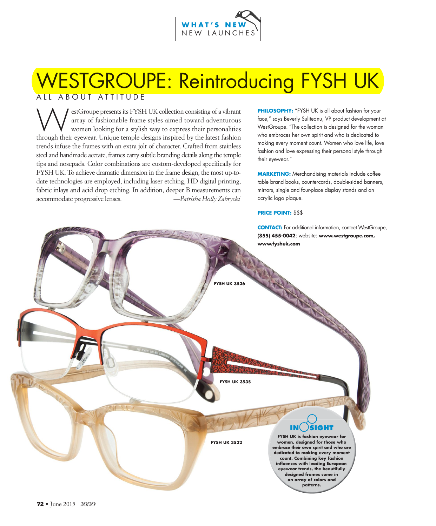

# ALL ABOUT ATTITUDE WESTGROUPE: Reintroducing FYSH UK

estGroupe presents its FYSH UK collection consisting of a vibrant<br>array of fashionable frame styles aimed toward adventurous<br>women looking for a stylish way to express their personalities<br>through their events I higue templ array of fashionable frame styles aimed toward adventurous women looking for a stylish way to express their personalities through their eyewear. Unique temple designs inspired by the latest fashion trends infuse the frames with an extra jolt of character. Crafted from stainless steel and handmade acetate, frames carry subtle branding details along the temple tips and nosepads. Color combinations are custom-developed specifically for FYSH UK. To achieve dramatic dimension in the frame design, the most up-todate technologies are employed, including laser etching, HD digital printing, fabric inlays and acid drop etching. In addition, deeper B measurements can accommodate progressive lenses. *—Patrisha Holly Zabrycki*

**PHILOSOPHY:** "FYSH UK is all about fashion for your face," says Beverly Suliteanu, VP product development at WestGroupe. "The collection is designed for the woman who embraces her own spirit and who is dedicated to making every moment count. Women who love life, love fashion and love expressing their personal style through their eyewear."

**MARKETING:** Merchandising materials include coffee table brand books, countercards, double-sided banners, mirrors, single and four-place display stands and an acrylic logo plaque.

#### **PRICE POINT:** \$\$\$

**CONTACT:** For additional information, contact WestGroupe,